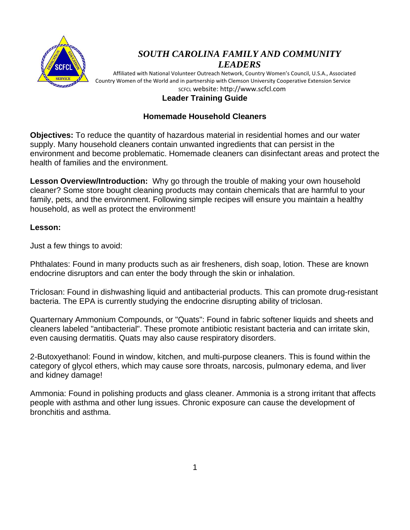

# *SOUTH CAROLINA FAMILY AND COMMUNITY LEADERS*

 Affiliated with National Volunteer Outreach Network, Country Women's Council, U.S.A., Associated Country Women of the World and in partnership with Clemson University Cooperative Extension Service SCFCL website: http://www.scfcl.com

### **Leader Training Guide**

### **Homemade Household Cleaners**

**Objectives:** To reduce the quantity of hazardous material in residential homes and our water supply. Many household cleaners contain unwanted ingredients that can persist in the environment and become problematic. Homemade cleaners can disinfectant areas and protect the health of families and the environment.

**Lesson Overview/Introduction:** Why go through the trouble of making your own household cleaner? Some store bought cleaning products may contain chemicals that are harmful to your family, pets, and the environment. Following simple recipes will ensure you maintain a healthy household, as well as protect the environment!

### **Lesson:**

Just a few things to avoid:

Phthalates: Found in many products such as air fresheners, dish soap, lotion. These are known endocrine disruptors and can enter the body through the skin or inhalation.

Triclosan: Found in dishwashing liquid and antibacterial products. This can promote drug-resistant bacteria. The EPA is currently studying the endocrine disrupting ability of triclosan.

Quarternary Ammonium Compounds, or "Quats": Found in fabric softener liquids and sheets and cleaners labeled "antibacterial". These promote antibiotic resistant bacteria and can irritate skin, even causing dermatitis. Quats may also cause respiratory disorders.

2-Butoxyethanol: Found in window, kitchen, and multi-purpose cleaners. This is found within the category of glycol ethers, which may cause sore throats, narcosis, pulmonary edema, and liver and kidney damage!

Ammonia: Found in polishing products and glass cleaner. Ammonia is a strong irritant that affects people with asthma and other lung issues. Chronic exposure can cause the development of bronchitis and asthma.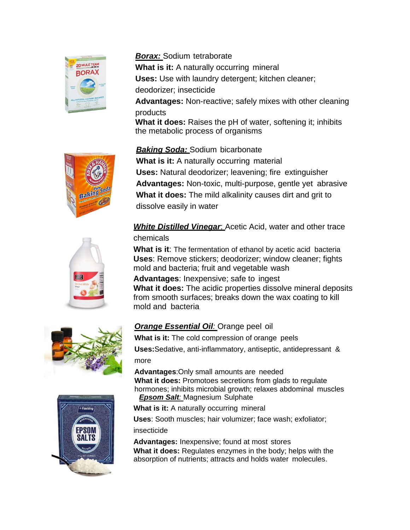

### *Borax:* Sodium tetraborate

*Baking Soda:* Sodium bicarbonate

**What is it:** A naturally occurring mineral **Uses:** Use with laundry detergent; kitchen cleaner; deodorizer; insecticide **Advantages:** Non-reactive; safely mixes with other cleaning

products

**What it does:** Raises the pH of water, softening it; inhibits the metabolic process of organisms



## **What is it:** A naturally occurring material **Uses:** Natural deodorizer; leavening; fire extinguisher **Advantages:** Non-toxic, multi-purpose, gentle yet abrasive **What it does:** The mild alkalinity causes dirt and grit to dissolve easily in water

# *White Distilled Vinegar*: Acetic Acid, water and other trace chemicals

**What is it**: The fermentation of ethanol by acetic acid bacteria **Uses**: Remove stickers; deodorizer; window cleaner; fights mold and bacteria; fruit and vegetable wash

**Advantages**: Inexpensive; safe to ingest **What it does:** The acidic properties dissolve mineral deposits from smooth surfaces; breaks down the wax coating to kill mold and bacteria

## *Orange Essential Oil:* Orange peel oil

**What is it:** The cold compression of orange peels

**Uses:**Sedative, anti-inflammatory, antiseptic, antidepressant & more

**Advantages**:Only small amounts are needed **What it does:** Promotoes secretions from glads to regulate hormones; inhibits microbial growth; relaxes abdominal muscles

*Epsom Salt:* Magnesium Sulphate

**What is it:** A naturally occurring mineral

**Uses**: Sooth muscles; hair volumizer; face wash; exfoliator;

#### insecticide

**Advantages:** Inexpensive; found at most stores **What it does:** Regulates enzymes in the body; helps with the absorption of nutrients; attracts and holds water molecules.





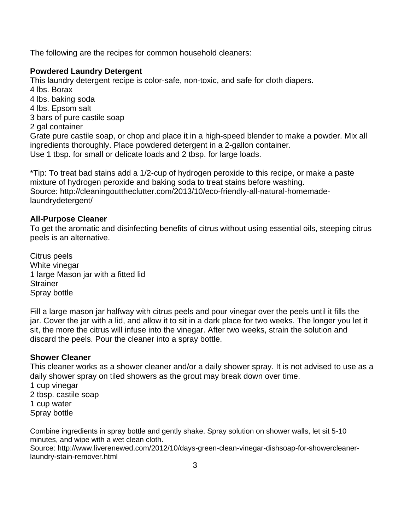The following are the recipes for common household cleaners:

### **Powdered Laundry Detergent**

This laundry detergent recipe is color-safe, non-toxic, and safe for cloth diapers.

- 4 lbs. Borax
- 4 lbs. baking soda
- 4 lbs. Epsom salt
- 3 bars of pure castile soap
- 2 gal container

Grate pure castile soap, or chop and place it in a high-speed blender to make a powder. Mix all ingredients thoroughly. Place powdered detergent in a 2-gallon container. Use 1 tbsp. for small or delicate loads and 2 tbsp. for large loads.

\*Tip: To treat bad stains add a 1/2-cup of hydrogen peroxide to this recipe, or make a paste mixture of hydrogen peroxide and baking soda to treat stains before washing. Source: http://cleaningouttheclutter.com/2013/10/eco-friendly-all-natural-homemadelaundrydetergent/

### **All-Purpose Cleaner**

To get the aromatic and disinfecting benefits of citrus without using essential oils, steeping citrus peels is an alternative.

Citrus peels White vinegar 1 large Mason jar with a fitted lid **Strainer** Spray bottle

Fill a large mason jar halfway with citrus peels and pour vinegar over the peels until it fills the jar. Cover the jar with a lid, and allow it to sit in a dark place for two weeks. The longer you let it sit, the more the citrus will infuse into the vinegar. After two weeks, strain the solution and discard the peels. Pour the cleaner into a spray bottle.

### **Shower Cleaner**

This cleaner works as a shower cleaner and/or a daily shower spray. It is not advised to use as a daily shower spray on tiled showers as the grout may break down over time.

1 cup vinegar 2 tbsp. castile soap 1 cup water Spray bottle

Combine ingredients in spray bottle and gently shake. Spray solution on shower walls, let sit 5-10 minutes, and wipe with a wet clean cloth.

Source: http://www.liverenewed.com/2012/10/days-green-clean-vinegar-dishsoap-for-showercleanerlaundry-stain-remover.html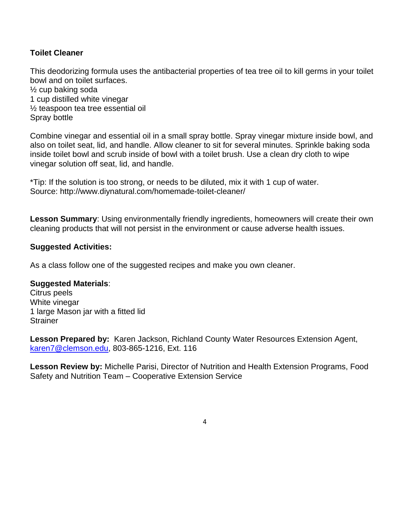### **Toilet Cleaner**

This deodorizing formula uses the antibacterial properties of tea tree oil to kill germs in your toilet bowl and on toilet surfaces. ½ cup baking soda

1 cup distilled white vinegar ½ teaspoon tea tree essential oil Spray bottle

Combine vinegar and essential oil in a small spray bottle. Spray vinegar mixture inside bowl, and also on toilet seat, lid, and handle. Allow cleaner to sit for several minutes. Sprinkle baking soda inside toilet bowl and scrub inside of bowl with a toilet brush. Use a clean dry cloth to wipe vinegar solution off seat, lid, and handle.

\*Tip: If the solution is too strong, or needs to be diluted, mix it with 1 cup of water. Source: http://www.diynatural.com/homemade-toilet-cleaner/

**Lesson Summary**: Using environmentally friendly ingredients, homeowners will create their own cleaning products that will not persist in the environment or cause adverse health issues.

#### **Suggested Activities:**

As a class follow one of the suggested recipes and make you own cleaner.

#### **Suggested Materials**:

Citrus peels White vinegar 1 large Mason jar with a fitted lid **Strainer** 

**Lesson Prepared by:** Karen Jackson, Richland County Water Resources Extension Agent, [karen7@clemson.edu,](mailto:karen7@clemson.edu) 803-865-1216, Ext. 116

**Lesson Review by:** Michelle Parisi, Director of Nutrition and Health Extension Programs, Food Safety and Nutrition Team – Cooperative Extension Service

4